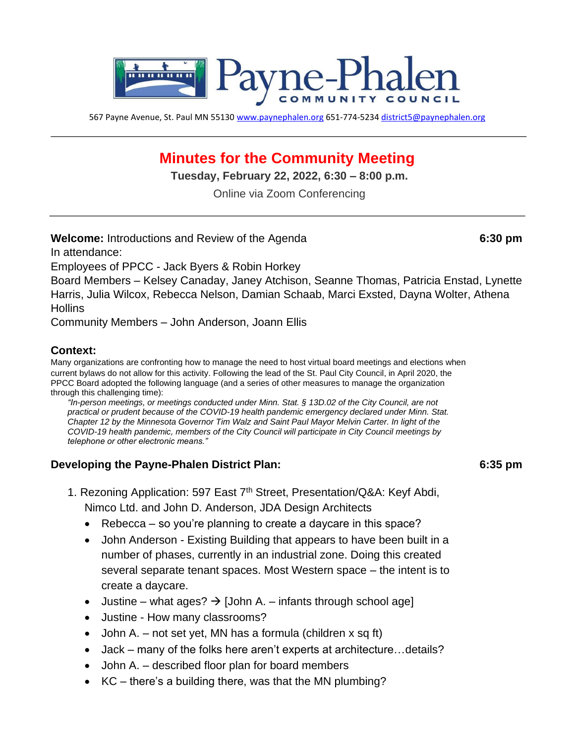

567 Payne Avenue, St. Paul MN 55130 [www.paynephalen.org](http://www.paynephalen.org/) [65](http://www.paynephalen.org/)1-774-5234 district5@paynephalen.org

# **Minutes for the Community Meeting**

**Tuesday, February 22, 2022, 6:30 – 8:00 p.m.** 

Online via Zoom Conferencing

**Welcome:** Introductions and Review of the Agenda **6:30 pm**

In attendance:

Employees of PPCC - Jack Byers & Robin Horkey

Board Members – Kelsey Canaday, Janey Atchison, Seanne Thomas, Patricia Enstad, Lynette Harris, Julia Wilcox, Rebecca Nelson, Damian Schaab, Marci Exsted, Dayna Wolter, Athena **Hollins** 

Community Members – John Anderson, Joann Ellis

#### **Context:**

Many organizations are confronting how to manage the need to host virtual board meetings and elections when current bylaws do not allow for this activity. Following the lead of the St. Paul City Council, in April 2020, the PPCC Board adopted the following language (and a series of other measures to manage the organization through this challenging time):

*"In-person meetings, or meetings conducted under Minn. Stat. § 13D.02 of the City Council, are not practical or prudent because of the COVID-19 health pandemic emergency declared under Minn. Stat. Chapter 12 by the Minnesota Governor Tim Walz and Saint Paul Mayor Melvin Carter. In light of the COVID-19 health pandemic, members of the City Council will participate in City Council meetings by telephone or other electronic means."* 

#### **Developing the Payne-Phalen District Plan: 6:35 pm**

- 1. Rezoning Application: 597 East 7<sup>th</sup> Street, Presentation/Q&A: Keyf Abdi, Nimco Ltd. and John D. Anderson, JDA Design Architects
	- Rebecca so you're planning to create a daycare in this space?
	- John Anderson Existing Building that appears to have been built in a number of phases, currently in an industrial zone. Doing this created several separate tenant spaces. Most Western space – the intent is to create a daycare.
	- Justine what ages?  $\rightarrow$  [John A. infants through school age]
	- Justine How many classrooms?
	- John A. not set yet, MN has a formula (children  $x$  sq ft)
	- Jack many of the folks here aren't experts at architecture…details?
	- John A. described floor plan for board members
	- KC there's a building there, was that the MN plumbing?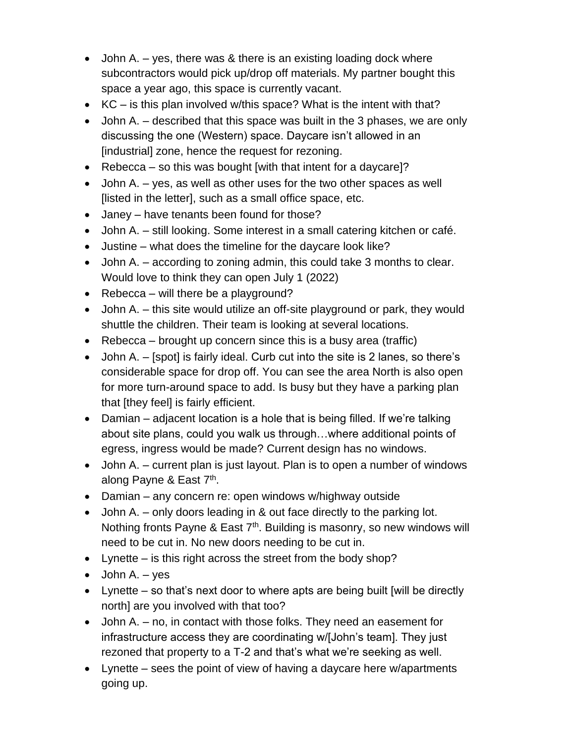- John A.  $-$  yes, there was & there is an existing loading dock where subcontractors would pick up/drop off materials. My partner bought this space a year ago, this space is currently vacant.
- KC is this plan involved w/this space? What is the intent with that?
- John A. described that this space was built in the 3 phases, we are only discussing the one (Western) space. Daycare isn't allowed in an [industrial] zone, hence the request for rezoning.
- Rebecca so this was bought [with that intent for a daycare]?
- John A. yes, as well as other uses for the two other spaces as well [listed in the letter], such as a small office space, etc.
- Janey have tenants been found for those?
- John A. still looking. Some interest in a small catering kitchen or café.
- Justine what does the timeline for the daycare look like?
- John A. according to zoning admin, this could take 3 months to clear. Would love to think they can open July 1 (2022)
- Rebecca will there be a playground?
- John A. this site would utilize an off-site playground or park, they would shuttle the children. Their team is looking at several locations.
- Rebecca brought up concern since this is a busy area (traffic)
- John A. [spot] is fairly ideal. Curb cut into the site is 2 lanes, so there's considerable space for drop off. You can see the area North is also open for more turn-around space to add. Is busy but they have a parking plan that [they feel] is fairly efficient.
- Damian adjacent location is a hole that is being filled. If we're talking about site plans, could you walk us through…where additional points of egress, ingress would be made? Current design has no windows.
- John A. current plan is just layout. Plan is to open a number of windows along Payne & East 7<sup>th</sup>.
- Damian any concern re: open windows w/highway outside
- John A. only doors leading in & out face directly to the parking lot. Nothing fronts Payne & East  $7<sup>th</sup>$ . Building is masonry, so new windows will need to be cut in. No new doors needing to be cut in.
- Lynette is this right across the street from the body shop?
- $\bullet$  John A. yes
- Lynette so that's next door to where apts are being built [will be directly north] are you involved with that too?
- John A. no, in contact with those folks. They need an easement for infrastructure access they are coordinating w/[John's team]. They just rezoned that property to a T-2 and that's what we're seeking as well.
- Lynette sees the point of view of having a daycare here w/apartments going up.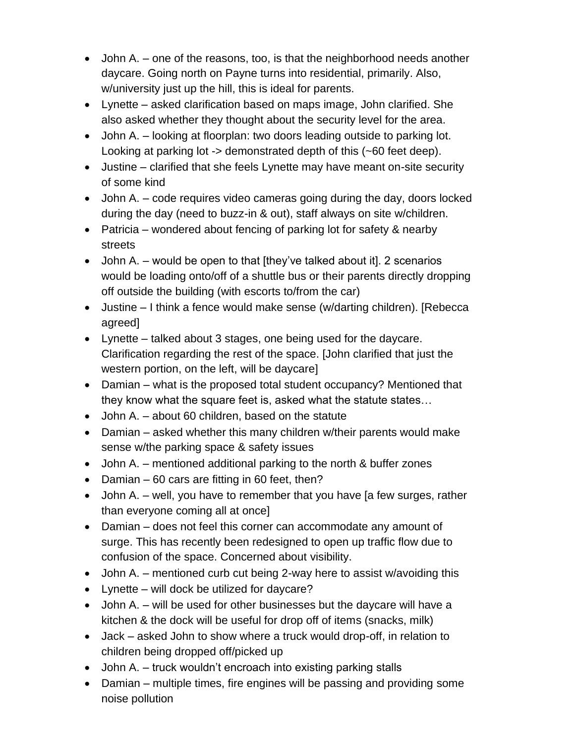- John A. one of the reasons, too, is that the neighborhood needs another daycare. Going north on Payne turns into residential, primarily. Also, w/university just up the hill, this is ideal for parents.
- Lynette asked clarification based on maps image, John clarified. She also asked whether they thought about the security level for the area.
- John A. looking at floorplan: two doors leading outside to parking lot. Looking at parking lot -> demonstrated depth of this (~60 feet deep).
- Justine clarified that she feels Lynette may have meant on-site security of some kind
- John A. code requires video cameras going during the day, doors locked during the day (need to buzz-in & out), staff always on site w/children.
- Patricia wondered about fencing of parking lot for safety & nearby streets
- John A. would be open to that  $[$ they've talked about it $]$ . 2 scenarios would be loading onto/off of a shuttle bus or their parents directly dropping off outside the building (with escorts to/from the car)
- Justine I think a fence would make sense (w/darting children). [Rebecca agreed]
- Lynette talked about 3 stages, one being used for the daycare. Clarification regarding the rest of the space. [John clarified that just the western portion, on the left, will be daycare]
- Damian what is the proposed total student occupancy? Mentioned that they know what the square feet is, asked what the statute states…
- John A. about 60 children, based on the statute
- Damian asked whether this many children w/their parents would make sense w/the parking space & safety issues
- John A. mentioned additional parking to the north & buffer zones
- Damian 60 cars are fitting in 60 feet, then?
- John A. well, you have to remember that you have [a few surges, rather than everyone coming all at once]
- Damian does not feel this corner can accommodate any amount of surge. This has recently been redesigned to open up traffic flow due to confusion of the space. Concerned about visibility.
- John A. mentioned curb cut being 2-way here to assist w/avoiding this
- Lynette will dock be utilized for daycare?
- John A. will be used for other businesses but the daycare will have a kitchen & the dock will be useful for drop off of items (snacks, milk)
- Jack asked John to show where a truck would drop-off, in relation to children being dropped off/picked up
- John A. truck wouldn't encroach into existing parking stalls
- Damian multiple times, fire engines will be passing and providing some noise pollution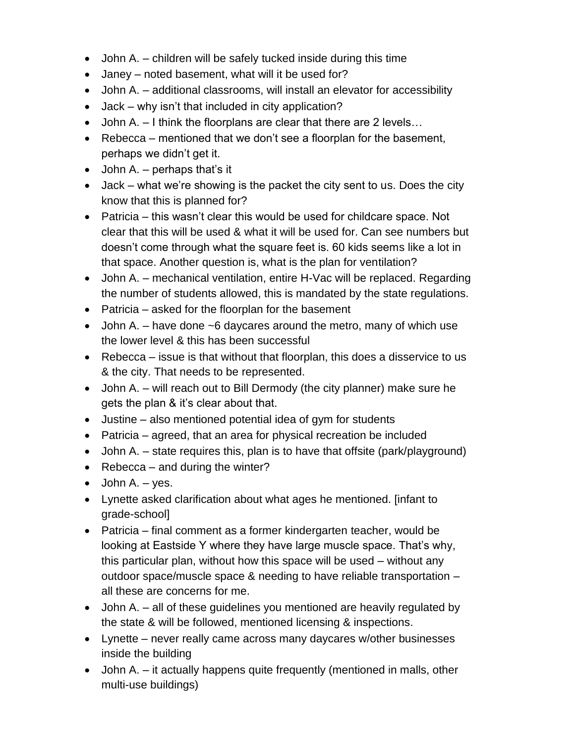- John A. children will be safely tucked inside during this time
- Janey noted basement, what will it be used for?
- John A. additional classrooms, will install an elevator for accessibility
- Jack why isn't that included in city application?
- John A. I think the floorplans are clear that there are 2 levels...
- Rebecca mentioned that we don't see a floorplan for the basement, perhaps we didn't get it.
- John A.  $-$  perhaps that's it
- Jack what we're showing is the packet the city sent to us. Does the city know that this is planned for?
- Patricia this wasn't clear this would be used for childcare space. Not clear that this will be used & what it will be used for. Can see numbers but doesn't come through what the square feet is. 60 kids seems like a lot in that space. Another question is, what is the plan for ventilation?
- John A. mechanical ventilation, entire H-Vac will be replaced. Regarding the number of students allowed, this is mandated by the state regulations.
- Patricia asked for the floorplan for the basement
- John A.  $-$  have done  $\sim$  6 daycares around the metro, many of which use the lower level & this has been successful
- Rebecca issue is that without that floorplan, this does a disservice to us & the city. That needs to be represented.
- John A. will reach out to Bill Dermody (the city planner) make sure he gets the plan & it's clear about that.
- Justine also mentioned potential idea of gym for students
- Patricia agreed, that an area for physical recreation be included
- John A. state requires this, plan is to have that offsite (park/playground)
- Rebecca and during the winter?
- $\bullet$  John A. yes.
- Lynette asked clarification about what ages he mentioned. [infant to grade-school]
- Patricia final comment as a former kindergarten teacher, would be looking at Eastside Y where they have large muscle space. That's why, this particular plan, without how this space will be used – without any outdoor space/muscle space & needing to have reliable transportation – all these are concerns for me.
- John A. all of these guidelines you mentioned are heavily regulated by the state & will be followed, mentioned licensing & inspections.
- Lynette never really came across many daycares w/other businesses inside the building
- John A. it actually happens quite frequently (mentioned in malls, other multi-use buildings)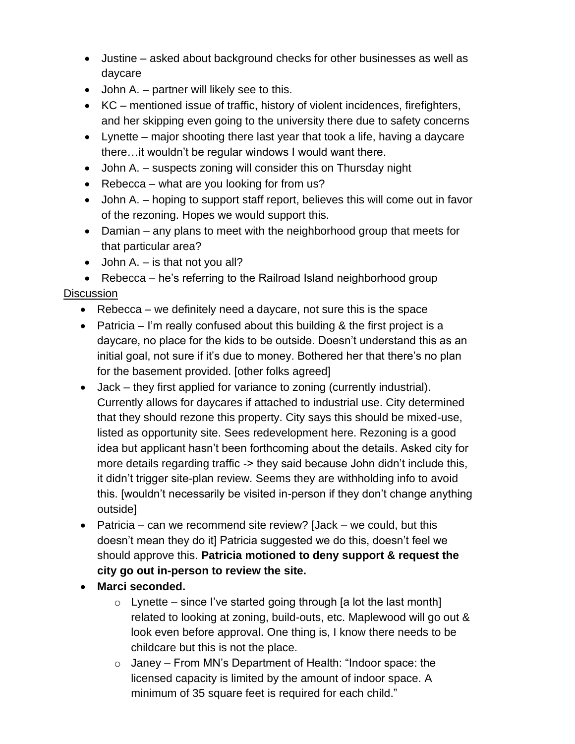- Justine asked about background checks for other businesses as well as daycare
- John A. partner will likely see to this.
- KC mentioned issue of traffic, history of violent incidences, firefighters, and her skipping even going to the university there due to safety concerns
- Lynette major shooting there last year that took a life, having a daycare there…it wouldn't be regular windows I would want there.
- John A. suspects zoning will consider this on Thursday night
- Rebecca what are you looking for from us?
- John A. hoping to support staff report, believes this will come out in favor of the rezoning. Hopes we would support this.
- Damian any plans to meet with the neighborhood group that meets for that particular area?
- John A.  $-$  is that not you all?
- Rebecca he's referring to the Railroad Island neighborhood group

#### **Discussion**

- Rebecca we definitely need a daycare, not sure this is the space
- Patricia I'm really confused about this building  $\&$  the first project is a daycare, no place for the kids to be outside. Doesn't understand this as an initial goal, not sure if it's due to money. Bothered her that there's no plan for the basement provided. [other folks agreed]
- Jack they first applied for variance to zoning (currently industrial). Currently allows for daycares if attached to industrial use. City determined that they should rezone this property. City says this should be mixed-use, listed as opportunity site. Sees redevelopment here. Rezoning is a good idea but applicant hasn't been forthcoming about the details. Asked city for more details regarding traffic -> they said because John didn't include this, it didn't trigger site-plan review. Seems they are withholding info to avoid this. [wouldn't necessarily be visited in-person if they don't change anything outside]
- Patricia can we recommend site review? [Jack we could, but this doesn't mean they do it] Patricia suggested we do this, doesn't feel we should approve this. **Patricia motioned to deny support & request the city go out in-person to review the site.**
- **Marci seconded.**
	- $\circ$  Lynette since I've started going through [a lot the last month] related to looking at zoning, build-outs, etc. Maplewood will go out & look even before approval. One thing is, I know there needs to be childcare but this is not the place.
	- $\circ$  Janey From MN's Department of Health: "Indoor space: the licensed capacity is limited by the amount of indoor space. A minimum of 35 square feet is required for each child."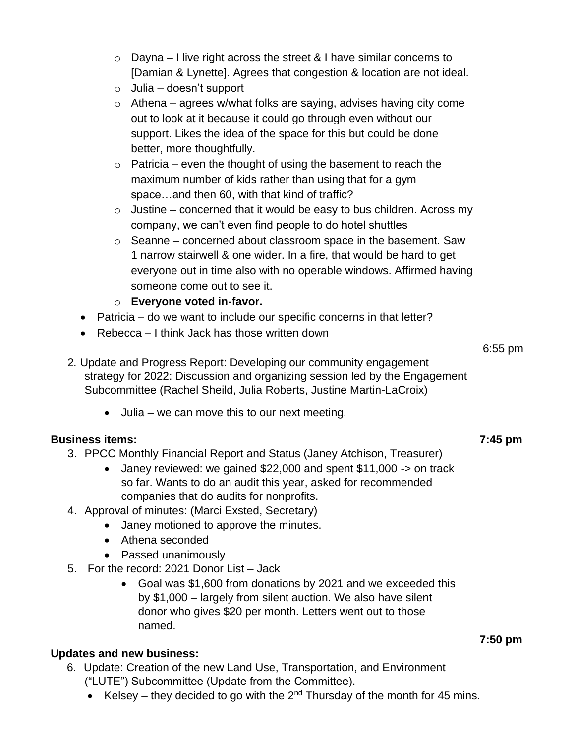- $\circ$  Dayna I live right across the street & I have similar concerns to [Damian & Lynette]. Agrees that congestion & location are not ideal.
- $\circ$  Julia doesn't support
- $\circ$  Athena agrees w/what folks are saying, advises having city come out to look at it because it could go through even without our support. Likes the idea of the space for this but could be done better, more thoughtfully.
- $\circ$  Patricia even the thought of using the basement to reach the maximum number of kids rather than using that for a gym space…and then 60, with that kind of traffic?
- $\circ$  Justine concerned that it would be easy to bus children. Across my company, we can't even find people to do hotel shuttles
- $\circ$  Seanne concerned about classroom space in the basement. Saw 1 narrow stairwell & one wider. In a fire, that would be hard to get everyone out in time also with no operable windows. Affirmed having someone come out to see it.
- o **Everyone voted in-favor.**
- Patricia do we want to include our specific concerns in that letter?
- Rebecca I think Jack has those written down
- 2*.* Update and Progress Report: Developing our community engagement strategy for 2022: Discussion and organizing session led by the Engagement Subcommittee (Rachel Sheild, Julia Roberts, Justine Martin-LaCroix)
	- Julia we can move this to our next meeting.

### **Business items:**

### 3. PPCC Monthly Financial Report and Status (Janey Atchison, Treasurer)

- Janey reviewed: we gained \$22,000 and spent \$11,000 -> on track so far. Wants to do an audit this year, asked for recommended companies that do audits for nonprofits.
- 4. Approval of minutes: (Marci Exsted, Secretary)
	- Janey motioned to approve the minutes.
	- Athena seconded
	- Passed unanimously
- 5. For the record: 2021 Donor List Jack
	- Goal was \$1,600 from donations by 2021 and we exceeded this by \$1,000 – largely from silent auction. We also have silent donor who gives \$20 per month. Letters went out to those named.

### **Updates and new business:**

- 6. Update: Creation of the new Land Use, Transportation, and Environment ("LUTE") Subcommittee (Update from the Committee).
	- Kelsey they decided to go with the  $2^{nd}$  Thursday of the month for 45 mins.

# **7:45 pm**

## 6:55 pm

#### **7:50 pm**